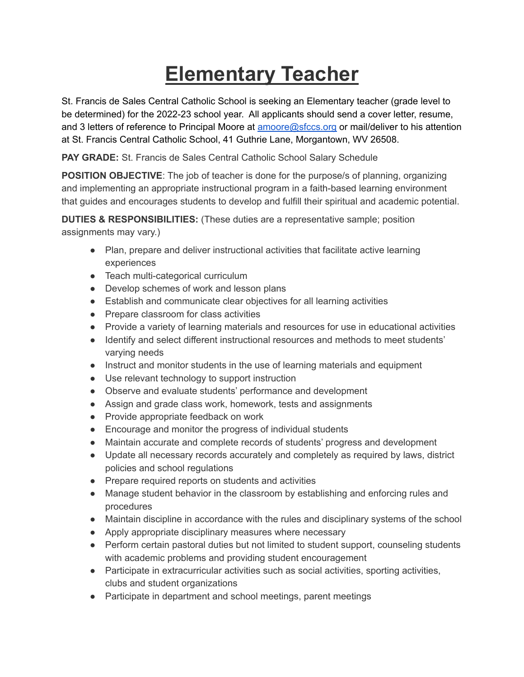## **Elementary Teacher**

St. Francis de Sales Central Catholic School is seeking an Elementary teacher (grade level to be determined) for the 2022-23 school year. All applicants should send a cover letter, resume, and 3 letters of reference to Principal Moore at **[amoore@sfccs.org](mailto:amoore@sfccs.org)** or mail/deliver to his attention at St. Francis Central Catholic School, 41 Guthrie Lane, Morgantown, WV 26508.

**PAY GRADE:** St. Francis de Sales Central Catholic School Salary Schedule

**POSITION OBJECTIVE**: The job of teacher is done for the purpose/s of planning, organizing and implementing an appropriate instructional program in a faith-based learning environment that guides and encourages students to develop and fulfill their spiritual and academic potential.

**DUTIES & RESPONSIBILITIES:** (These duties are a representative sample; position assignments may vary.)

- Plan, prepare and deliver instructional activities that facilitate active learning experiences
- Teach multi-categorical curriculum
- Develop schemes of work and lesson plans
- Establish and communicate clear objectives for all learning activities
- Prepare classroom for class activities
- Provide a variety of learning materials and resources for use in educational activities
- Identify and select different instructional resources and methods to meet students' varying needs
- Instruct and monitor students in the use of learning materials and equipment
- Use relevant technology to support instruction
- Observe and evaluate students' performance and development
- Assign and grade class work, homework, tests and assignments
- Provide appropriate feedback on work
- Encourage and monitor the progress of individual students
- Maintain accurate and complete records of students' progress and development
- Update all necessary records accurately and completely as required by laws, district policies and school regulations
- Prepare required reports on students and activities
- Manage student behavior in the classroom by establishing and enforcing rules and procedures
- Maintain discipline in accordance with the rules and disciplinary systems of the school
- Apply appropriate disciplinary measures where necessary
- Perform certain pastoral duties but not limited to student support, counseling students with academic problems and providing student encouragement
- Participate in extracurricular activities such as social activities, sporting activities, clubs and student organizations
- Participate in department and school meetings, parent meetings